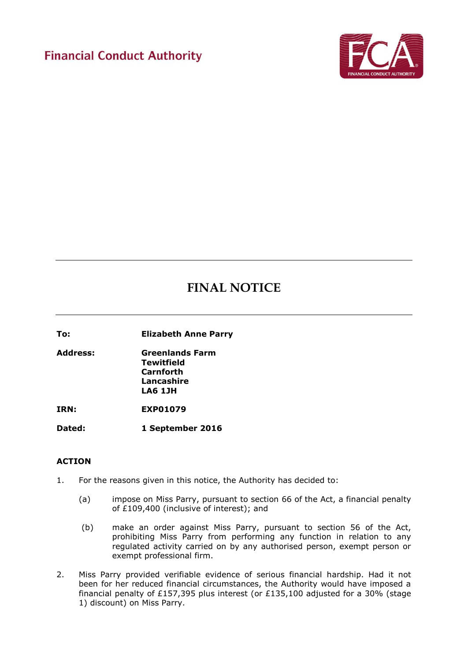# **Financial Conduct Authority**



# **FINAL NOTICE**

**To: Elizabeth Anne Parry Address: Greenlands Farm Tewitfield**

**Carnforth Lancashire LA6 1JH**

**IRN: EXP01079**

**Dated: 1 September 2016**

## **ACTION**

- 1. For the reasons given in this notice, the Authority has decided to:
	- (a) impose on Miss Parry, pursuant to section 66 of the Act, a financial penalty of £109,400 (inclusive of interest); and
	- (b) make an order against Miss Parry, pursuant to section 56 of the Act, prohibiting Miss Parry from performing any function in relation to any regulated activity carried on by any authorised person, exempt person or exempt professional firm.
- 2. Miss Parry provided verifiable evidence of serious financial hardship. Had it not been for her reduced financial circumstances, the Authority would have imposed a financial penalty of £157,395 plus interest (or £135,100 adjusted for a 30% (stage 1) discount) on Miss Parry.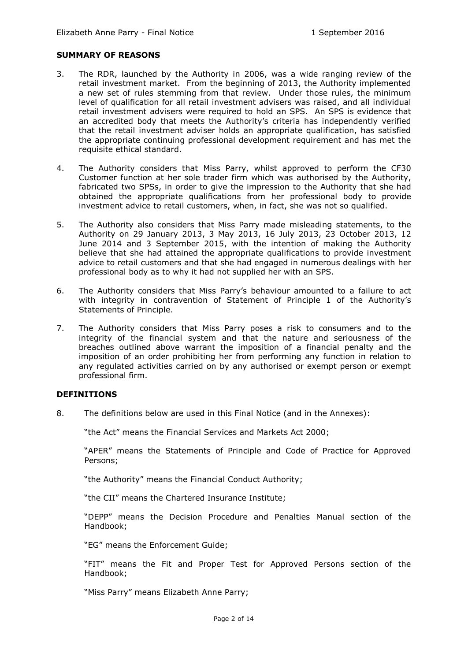#### **SUMMARY OF REASONS**

- 3. The RDR, launched by the Authority in 2006, was a wide ranging review of the retail investment market. From the beginning of 2013, the Authority implemented a new set of rules stemming from that review. Under those rules, the minimum level of qualification for all retail investment advisers was raised, and all individual retail investment advisers were required to hold an SPS. An SPS is evidence that an accredited body that meets the Authority's criteria has independently verified that the retail investment adviser holds an appropriate qualification, has satisfied the appropriate continuing professional development requirement and has met the requisite ethical standard.
- 4. The Authority considers that Miss Parry, whilst approved to perform the CF30 Customer function at her sole trader firm which was authorised by the Authority, fabricated two SPSs, in order to give the impression to the Authority that she had obtained the appropriate qualifications from her professional body to provide investment advice to retail customers, when, in fact, she was not so qualified.
- 5. The Authority also considers that Miss Parry made misleading statements, to the Authority on 29 January 2013, 3 May 2013, 16 July 2013, 23 October 2013, 12 June 2014 and 3 September 2015, with the intention of making the Authority believe that she had attained the appropriate qualifications to provide investment advice to retail customers and that she had engaged in numerous dealings with her professional body as to why it had not supplied her with an SPS.
- 6. The Authority considers that Miss Parry's behaviour amounted to a failure to act with integrity in contravention of Statement of Principle 1 of the Authority's Statements of Principle.
- 7. The Authority considers that Miss Parry poses a risk to consumers and to the integrity of the financial system and that the nature and seriousness of the breaches outlined above warrant the imposition of a financial penalty and the imposition of an order prohibiting her from performing any function in relation to any regulated activities carried on by any authorised or exempt person or exempt professional firm.

#### **DEFINITIONS**

8. The definitions below are used in this Final Notice (and in the Annexes):

"the Act" means the Financial Services and Markets Act 2000;

"APER" means the Statements of Principle and Code of Practice for Approved Persons;

"the Authority" means the Financial Conduct Authority;

"the CII" means the Chartered Insurance Institute;

"DEPP" means the Decision Procedure and Penalties Manual section of the Handbook;

"EG" means the Enforcement Guide;

"FIT" means the Fit and Proper Test for Approved Persons section of the Handbook;

"Miss Parry" means Elizabeth Anne Parry;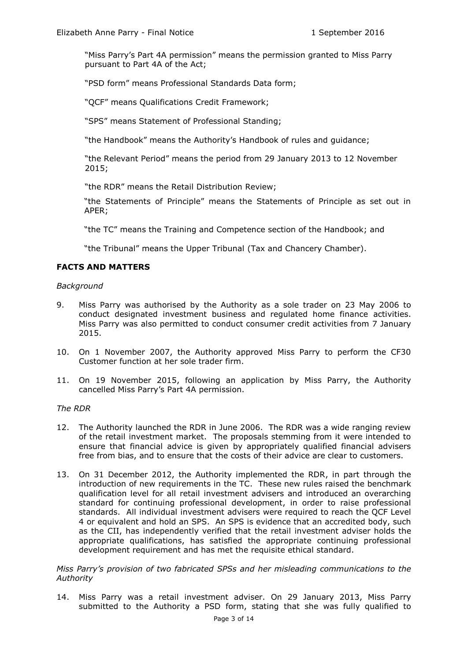"Miss Parry's Part 4A permission" means the permission granted to Miss Parry pursuant to Part 4A of the Act;

"PSD form" means Professional Standards Data form;

"QCF" means Qualifications Credit Framework;

"SPS" means Statement of Professional Standing;

"the Handbook" means the Authority's Handbook of rules and guidance;

"the Relevant Period" means the period from 29 January 2013 to 12 November 2015;

"the RDR" means the Retail Distribution Review;

"the Statements of Principle" means the Statements of Principle as set out in APER;

"the TC" means the Training and Competence section of the Handbook; and

"the Tribunal" means the Upper Tribunal (Tax and Chancery Chamber).

## **FACTS AND MATTERS**

#### *Background*

- 9. Miss Parry was authorised by the Authority as a sole trader on 23 May 2006 to conduct designated investment business and regulated home finance activities. Miss Parry was also permitted to conduct consumer credit activities from 7 January 2015.
- 10. On 1 November 2007, the Authority approved Miss Parry to perform the CF30 Customer function at her sole trader firm.
- 11. On 19 November 2015, following an application by Miss Parry, the Authority cancelled Miss Parry's Part 4A permission.

#### *The RDR*

- 12. The Authority launched the RDR in June 2006. The RDR was a wide ranging review of the retail investment market. The proposals stemming from it were intended to ensure that financial advice is given by appropriately qualified financial advisers free from bias, and to ensure that the costs of their advice are clear to customers.
- 13. On 31 December 2012, the Authority implemented the RDR, in part through the introduction of new requirements in the TC. These new rules raised the benchmark qualification level for all retail investment advisers and introduced an overarching standard for continuing professional development, in order to raise professional standards. All individual investment advisers were required to reach the QCF Level 4 or equivalent and hold an SPS. An SPS is evidence that an accredited body, such as the CII, has independently verified that the retail investment adviser holds the appropriate qualifications, has satisfied the appropriate continuing professional development requirement and has met the requisite ethical standard.

*Miss Parry's provision of two fabricated SPSs and her misleading communications to the Authority* 

14. Miss Parry was a retail investment adviser. On 29 January 2013, Miss Parry submitted to the Authority a PSD form, stating that she was fully qualified to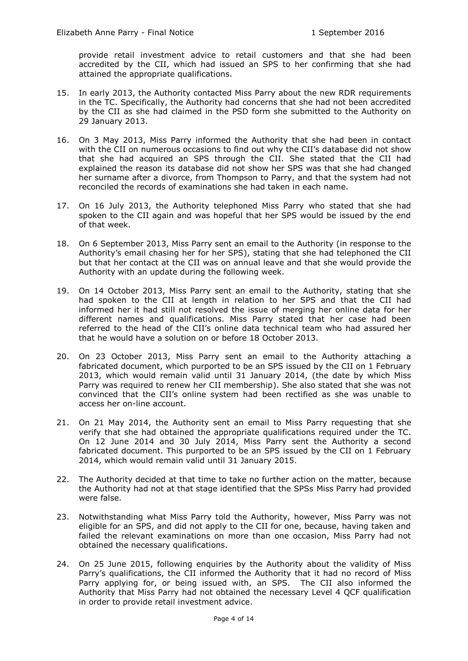provide retail investment advice to retail customers and that she had been accredited by the CII, which had issued an SPS to her confirming that she had attained the appropriate qualifications.

- 15. In early 2013, the Authority contacted Miss Parry about the new RDR requirements in the TC. Specifically, the Authority had concerns that she had not been accredited by the CII as she had claimed in the PSD form she submitted to the Authority on 29 January 2013.
- 16. On 3 May 2013, Miss Parry informed the Authority that she had been in contact with the CII on numerous occasions to find out why the CII's database did not show that she had acquired an SPS through the CII. She stated that the CII had explained the reason its database did not show her SPS was that she had changed her surname after a divorce, from Thompson to Parry, and that the system had not reconciled the records of examinations she had taken in each name.
- 17. On 16 July 2013, the Authority telephoned Miss Parry who stated that she had spoken to the CII again and was hopeful that her SPS would be issued by the end of that week.
- 18. On 6 September 2013, Miss Parry sent an email to the Authority (in response to the Authority's email chasing her for her SPS), stating that she had telephoned the CII but that her contact at the CII was on annual leave and that she would provide the Authority with an update during the following week.
- 19. On 14 October 2013, Miss Parry sent an email to the Authority, stating that she had spoken to the CII at length in relation to her SPS and that the CII had informed her it had still not resolved the issue of merging her online data for her different names and qualifications. Miss Parry stated that her case had been referred to the head of the CII's online data technical team who had assured her that he would have a solution on or before 18 October 2013.
- 20. On 23 October 2013, Miss Parry sent an email to the Authority attaching a fabricated document, which purported to be an SPS issued by the CII on 1 February 2013, which would remain valid until 31 January 2014, (the date by which Miss Parry was required to renew her CII membership). She also stated that she was not convinced that the CII's online system had been rectified as she was unable to access her on-line account.
- 21. On 21 May 2014, the Authority sent an email to Miss Parry requesting that she verify that she had obtained the appropriate qualifications required under the TC. On 12 June 2014 and 30 July 2014, Miss Parry sent the Authority a second fabricated document. This purported to be an SPS issued by the CII on 1 February 2014, which would remain valid until 31 January 2015.
- 22. The Authority decided at that time to take no further action on the matter, because the Authority had not at that stage identified that the SPSs Miss Parry had provided were false.
- 23. Notwithstanding what Miss Parry told the Authority, however, Miss Parry was not eligible for an SPS, and did not apply to the CII for one, because, having taken and failed the relevant examinations on more than one occasion, Miss Parry had not obtained the necessary qualifications.
- 24. On 25 June 2015, following enquiries by the Authority about the validity of Miss Parry's qualifications, the CII informed the Authority that it had no record of Miss Parry applying for, or being issued with, an SPS. The CII also informed the Authority that Miss Parry had not obtained the necessary Level 4 QCF qualification in order to provide retail investment advice.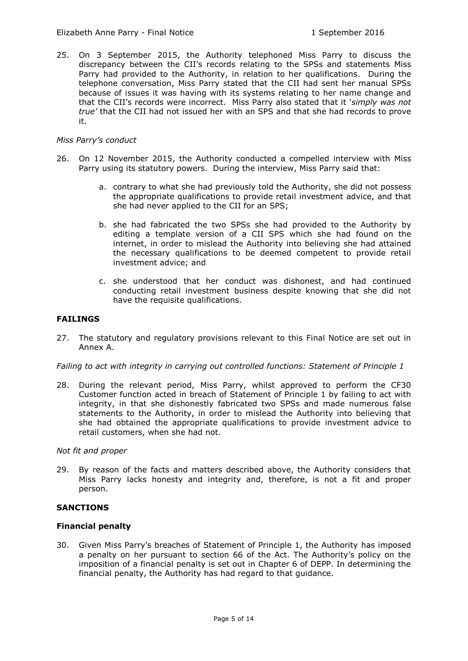25. On 3 September 2015, the Authority telephoned Miss Parry to discuss the discrepancy between the CII's records relating to the SPSs and statements Miss Parry had provided to the Authority, in relation to her qualifications. During the telephone conversation, Miss Parry stated that the CII had sent her manual SPSs because of issues it was having with its systems relating to her name change and that the CII's records were incorrect. Miss Parry also stated that it '*simply was not true'* that the CII had not issued her with an SPS and that she had records to prove it.

#### *Miss Parry's conduct*

- 26. On 12 November 2015, the Authority conducted a compelled interview with Miss Parry using its statutory powers. During the interview, Miss Parry said that:
	- a. contrary to what she had previously told the Authority, she did not possess the appropriate qualifications to provide retail investment advice, and that she had never applied to the CII for an SPS;
	- b. she had fabricated the two SPSs she had provided to the Authority by editing a template version of a CII SPS which she had found on the internet, in order to mislead the Authority into believing she had attained the necessary qualifications to be deemed competent to provide retail investment advice; and
	- c. she understood that her conduct was dishonest, and had continued conducting retail investment business despite knowing that she did not have the requisite qualifications.

#### **FAILINGS**

27. The statutory and regulatory provisions relevant to this Final Notice are set out in Annex A.

*Failing to act with integrity in carrying out controlled functions: Statement of Principle 1*

28. During the relevant period, Miss Parry, whilst approved to perform the CF30 Customer function acted in breach of Statement of Principle 1 by failing to act with integrity, in that she dishonestly fabricated two SPSs and made numerous false statements to the Authority, in order to mislead the Authority into believing that she had obtained the appropriate qualifications to provide investment advice to retail customers, when she had not.

*Not fit and proper*

29. By reason of the facts and matters described above, the Authority considers that Miss Parry lacks honesty and integrity and, therefore, is not a fit and proper person.

#### **SANCTIONS**

#### **Financial penalty**

30. Given Miss Parry's breaches of Statement of Principle 1, the Authority has imposed a penalty on her pursuant to section 66 of the Act. The Authority's policy on the imposition of a financial penalty is set out in Chapter 6 of DEPP. In determining the financial penalty, the Authority has had regard to that guidance.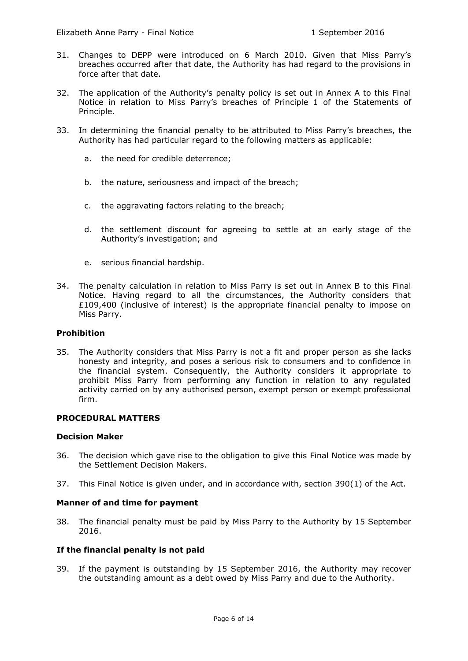- 31. Changes to DEPP were introduced on 6 March 2010. Given that Miss Parry's breaches occurred after that date, the Authority has had regard to the provisions in force after that date.
- 32. The application of the Authority's penalty policy is set out in Annex A to this Final Notice in relation to Miss Parry's breaches of Principle 1 of the Statements of Principle.
- 33. In determining the financial penalty to be attributed to Miss Parry's breaches, the Authority has had particular regard to the following matters as applicable:
	- a. the need for credible deterrence;
	- b. the nature, seriousness and impact of the breach;
	- c. the aggravating factors relating to the breach;
	- d. the settlement discount for agreeing to settle at an early stage of the Authority's investigation; and
	- e. serious financial hardship.
- 34. The penalty calculation in relation to Miss Parry is set out in Annex B to this Final Notice. Having regard to all the circumstances, the Authority considers that £109,400 (inclusive of interest) is the appropriate financial penalty to impose on Miss Parry.

#### **Prohibition**

35. The Authority considers that Miss Parry is not a fit and proper person as she lacks honesty and integrity, and poses a serious risk to consumers and to confidence in the financial system. Consequently, the Authority considers it appropriate to prohibit Miss Parry from performing any function in relation to any regulated activity carried on by any authorised person, exempt person or exempt professional firm.

## **PROCEDURAL MATTERS**

#### **Decision Maker**

- 36. The decision which gave rise to the obligation to give this Final Notice was made by the Settlement Decision Makers.
- 37. This Final Notice is given under, and in accordance with, section 390(1) of the Act.

#### **Manner of and time for payment**

38. The financial penalty must be paid by Miss Parry to the Authority by 15 September 2016.

#### **If the financial penalty is not paid**

39. If the payment is outstanding by 15 September 2016, the Authority may recover the outstanding amount as a debt owed by Miss Parry and due to the Authority.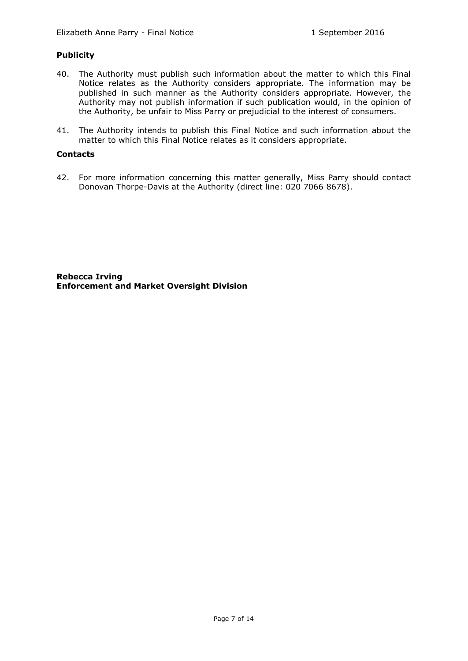#### **Publicity**

- 40. The Authority must publish such information about the matter to which this Final Notice relates as the Authority considers appropriate. The information may be published in such manner as the Authority considers appropriate. However, the Authority may not publish information if such publication would, in the opinion of the Authority, be unfair to Miss Parry or prejudicial to the interest of consumers.
- 41. The Authority intends to publish this Final Notice and such information about the matter to which this Final Notice relates as it considers appropriate.

#### **Contacts**

42. For more information concerning this matter generally, Miss Parry should contact Donovan Thorpe-Davis at the Authority (direct line: 020 7066 8678).

**Rebecca Irving Enforcement and Market Oversight Division**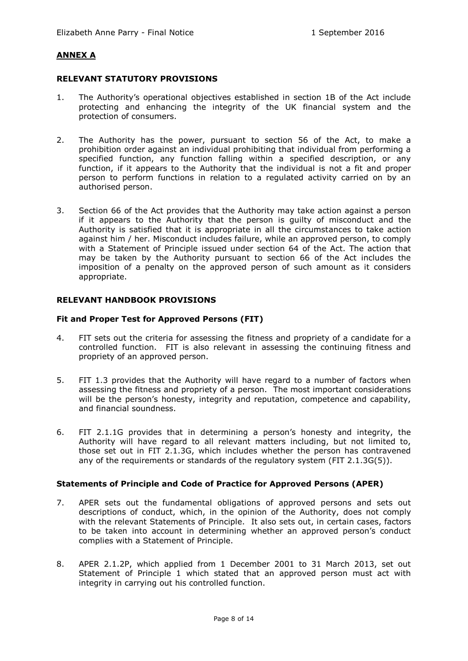# **ANNEX A**

#### **RELEVANT STATUTORY PROVISIONS**

- 1. The Authority's operational objectives established in section 1B of the Act include protecting and enhancing the integrity of the UK financial system and the protection of consumers.
- 2. The Authority has the power, pursuant to section 56 of the Act, to make a prohibition order against an individual prohibiting that individual from performing a specified function, any function falling within a specified description, or any function, if it appears to the Authority that the individual is not a fit and proper person to perform functions in relation to a regulated activity carried on by an authorised person.
- 3. Section 66 of the Act provides that the Authority may take action against a person if it appears to the Authority that the person is guilty of misconduct and the Authority is satisfied that it is appropriate in all the circumstances to take action against him / her. Misconduct includes failure, while an approved person, to comply with a Statement of Principle issued under section 64 of the Act. The action that may be taken by the Authority pursuant to section 66 of the Act includes the imposition of a penalty on the approved person of such amount as it considers appropriate.

#### **RELEVANT HANDBOOK PROVISIONS**

#### **Fit and Proper Test for Approved Persons (FIT)**

- 4. FIT sets out the criteria for assessing the fitness and propriety of a candidate for a controlled function. FIT is also relevant in assessing the continuing fitness and propriety of an approved person.
- 5. FIT 1.3 provides that the Authority will have regard to a number of factors when assessing the fitness and propriety of a person. The most important considerations will be the person's honesty, integrity and reputation, competence and capability, and financial soundness.
- 6. FIT 2.1.1G provides that in determining a person's honesty and integrity, the Authority will have regard to all relevant matters including, but not limited to, those set out in FIT 2.1.3G, which includes whether the person has contravened any of the requirements or standards of the regulatory system (FIT 2.1.3G(5)).

#### **Statements of Principle and Code of Practice for Approved Persons (APER)**

- 7. APER sets out the fundamental obligations of approved persons and sets out descriptions of conduct, which, in the opinion of the Authority, does not comply with the relevant Statements of Principle. It also sets out, in certain cases, factors to be taken into account in determining whether an approved person's conduct complies with a Statement of Principle.
- 8. APER 2.1.2P, which applied from 1 December 2001 to 31 March 2013, set out Statement of Principle 1 which stated that an approved person must act with integrity in carrying out his controlled function.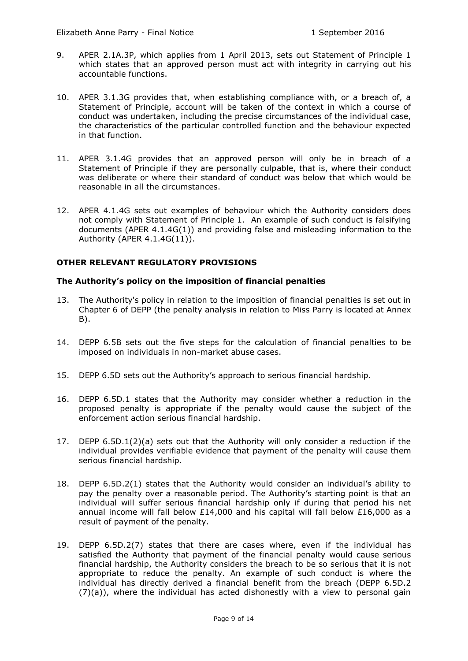- 9. APER 2.1A.3P, which applies from 1 April 2013, sets out Statement of Principle 1 which states that an approved person must act with integrity in carrying out his accountable functions.
- 10. APER 3.1.3G provides that, when establishing compliance with, or a breach of, a Statement of Principle, account will be taken of the context in which a course of conduct was undertaken, including the precise circumstances of the individual case, the characteristics of the particular controlled function and the behaviour expected in that function.
- 11. APER 3.1.4G provides that an approved person will only be in breach of a Statement of Principle if they are personally culpable, that is, where their conduct was deliberate or where their standard of conduct was below that which would be reasonable in all the circumstances.
- 12. APER 4.1.4G sets out examples of behaviour which the Authority considers does not comply with Statement of Principle 1. An example of such conduct is falsifying documents (APER 4.1.4G(1)) and providing false and misleading information to the Authority (APER 4.1.4G(11)).

## **OTHER RELEVANT REGULATORY PROVISIONS**

#### **The Authority's policy on the imposition of financial penalties**

- 13. The Authority's policy in relation to the imposition of financial penalties is set out in Chapter 6 of DEPP (the penalty analysis in relation to Miss Parry is located at Annex B).
- 14. DEPP 6.5B sets out the five steps for the calculation of financial penalties to be imposed on individuals in non-market abuse cases.
- 15. DEPP 6.5D sets out the Authority's approach to serious financial hardship.
- 16. DEPP 6.5D.1 states that the Authority may consider whether a reduction in the proposed penalty is appropriate if the penalty would cause the subject of the enforcement action serious financial hardship.
- 17. DEPP 6.5D.1(2)(a) sets out that the Authority will only consider a reduction if the individual provides verifiable evidence that payment of the penalty will cause them serious financial hardship.
- 18. DEPP 6.5D.2(1) states that the Authority would consider an individual's ability to pay the penalty over a reasonable period. The Authority's starting point is that an individual will suffer serious financial hardship only if during that period his net annual income will fall below £14,000 and his capital will fall below £16,000 as a result of payment of the penalty.
- 19. DEPP 6.5D.2(7) states that there are cases where, even if the individual has satisfied the Authority that payment of the financial penalty would cause serious financial hardship, the Authority considers the breach to be so serious that it is not appropriate to reduce the penalty. An example of such conduct is where the individual has directly derived a financial benefit from the breach (DEPP 6.5D.2 (7)(a)), where the individual has acted dishonestly with a view to personal gain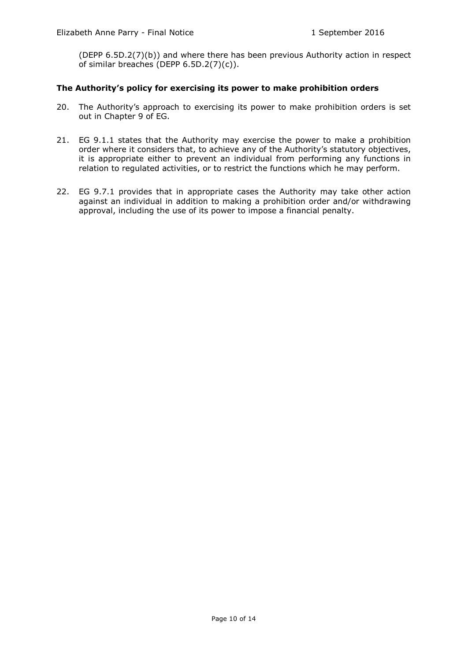(DEPP 6.5D.2(7)(b)) and where there has been previous Authority action in respect of similar breaches (DEPP 6.5D.2(7)(c)).

#### **The Authority's policy for exercising its power to make prohibition orders**

- 20. The Authority's approach to exercising its power to make prohibition orders is set out in Chapter 9 of EG.
- 21. EG 9.1.1 states that the Authority may exercise the power to make a prohibition order where it considers that, to achieve any of the Authority's statutory objectives, it is appropriate either to prevent an individual from performing any functions in relation to regulated activities, or to restrict the functions which he may perform.
- 22. EG 9.7.1 provides that in appropriate cases the Authority may take other action against an individual in addition to making a prohibition order and/or withdrawing approval, including the use of its power to impose a financial penalty.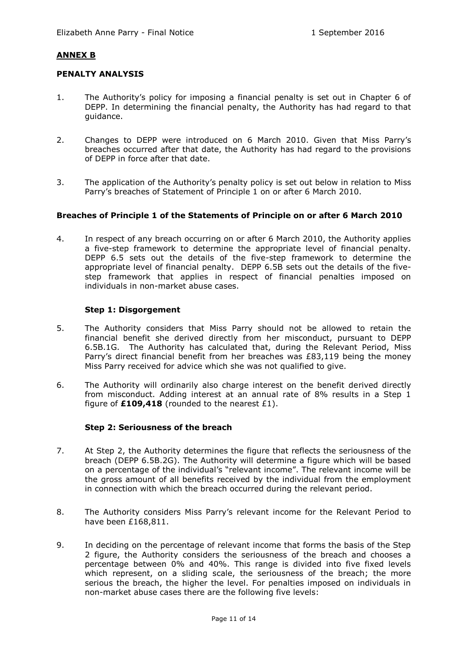## **ANNEX B**

# **PENALTY ANALYSIS**

- 1. The Authority's policy for imposing a financial penalty is set out in Chapter 6 of DEPP. In determining the financial penalty, the Authority has had regard to that guidance.
- 2. Changes to DEPP were introduced on 6 March 2010. Given that Miss Parry's breaches occurred after that date, the Authority has had regard to the provisions of DEPP in force after that date.
- 3. The application of the Authority's penalty policy is set out below in relation to Miss Parry's breaches of Statement of Principle 1 on or after 6 March 2010.

#### **Breaches of Principle 1 of the Statements of Principle on or after 6 March 2010**

4. In respect of any breach occurring on or after 6 March 2010, the Authority applies a five-step framework to determine the appropriate level of financial penalty. DEPP 6.5 sets out the details of the five-step framework to determine the appropriate level of financial penalty. DEPP 6.5B sets out the details of the fivestep framework that applies in respect of financial penalties imposed on individuals in non-market abuse cases.

#### **Step 1: Disgorgement**

- 5. The Authority considers that Miss Parry should not be allowed to retain the financial benefit she derived directly from her misconduct, pursuant to DEPP 6.5B.1G. The Authority has calculated that, during the Relevant Period, Miss Parry's direct financial benefit from her breaches was £83,119 being the money Miss Parry received for advice which she was not qualified to give.
- 6. The Authority will ordinarily also charge interest on the benefit derived directly from misconduct. Adding interest at an annual rate of 8% results in a Step 1 figure of **£109,418** (rounded to the nearest £1).

#### **Step 2: Seriousness of the breach**

- 7. At Step 2, the Authority determines the figure that reflects the seriousness of the breach (DEPP 6.5B.2G). The Authority will determine a figure which will be based on a percentage of the individual's "relevant income". The relevant income will be the gross amount of all benefits received by the individual from the employment in connection with which the breach occurred during the relevant period.
- 8. The Authority considers Miss Parry's relevant income for the Relevant Period to have been £168,811.
- 9. In deciding on the percentage of relevant income that forms the basis of the Step 2 figure, the Authority considers the seriousness of the breach and chooses a percentage between 0% and 40%. This range is divided into five fixed levels which represent, on a sliding scale, the seriousness of the breach; the more serious the breach, the higher the level. For penalties imposed on individuals in non-market abuse cases there are the following five levels: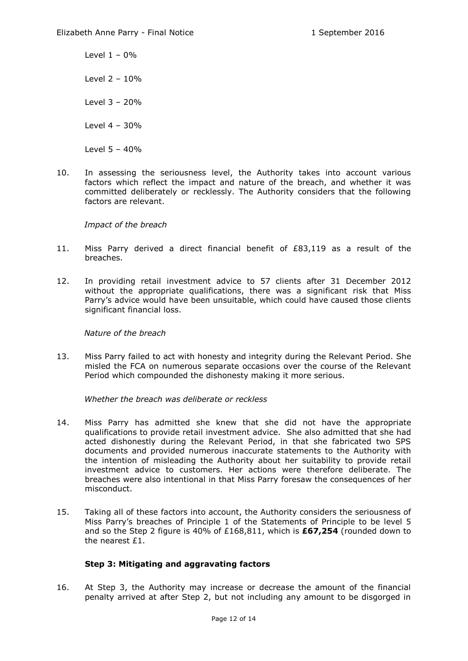Elizabeth Anne Parry - Final Notice 1 September 2016

Level 1 – 0%

Level 2 – 10%

Level 3 – 20%

Level 4 – 30%

Level 5 – 40%

10. In assessing the seriousness level, the Authority takes into account various factors which reflect the impact and nature of the breach, and whether it was committed deliberately or recklessly. The Authority considers that the following factors are relevant.

## *Impact of the breach*

- 11. Miss Parry derived a direct financial benefit of £83,119 as a result of the breaches.
- 12. In providing retail investment advice to 57 clients after 31 December 2012 without the appropriate qualifications, there was a significant risk that Miss Parry's advice would have been unsuitable, which could have caused those clients significant financial loss.

*Nature of the breach*

13. Miss Parry failed to act with honesty and integrity during the Relevant Period. She misled the FCA on numerous separate occasions over the course of the Relevant Period which compounded the dishonesty making it more serious.

*Whether the breach was deliberate or reckless*

- 14. Miss Parry has admitted she knew that she did not have the appropriate qualifications to provide retail investment advice. She also admitted that she had acted dishonestly during the Relevant Period, in that she fabricated two SPS documents and provided numerous inaccurate statements to the Authority with the intention of misleading the Authority about her suitability to provide retail investment advice to customers. Her actions were therefore deliberate. The breaches were also intentional in that Miss Parry foresaw the consequences of her misconduct.
- 15. Taking all of these factors into account, the Authority considers the seriousness of Miss Parry's breaches of Principle 1 of the Statements of Principle to be level 5 and so the Step 2 figure is 40% of £168,811, which is **£67,254** (rounded down to the nearest £1.

## **Step 3: Mitigating and aggravating factors**

16. At Step 3, the Authority may increase or decrease the amount of the financial penalty arrived at after Step 2, but not including any amount to be disgorged in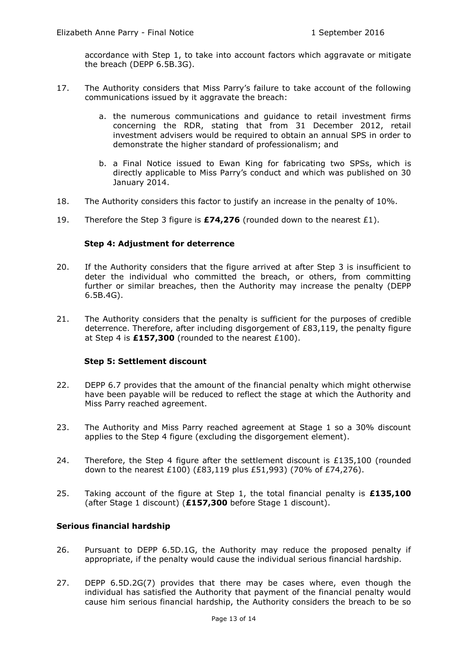accordance with Step 1, to take into account factors which aggravate or mitigate the breach (DEPP 6.5B.3G).

- 17. The Authority considers that Miss Parry's failure to take account of the following communications issued by it aggravate the breach:
	- a. the numerous communications and guidance to retail investment firms concerning the RDR, stating that from 31 December 2012, retail investment advisers would be required to obtain an annual SPS in order to demonstrate the higher standard of professionalism; and
	- b. a Final Notice issued to Ewan King for fabricating two SPSs, which is directly applicable to Miss Parry's conduct and which was published on 30 January 2014.
- 18. The Authority considers this factor to justify an increase in the penalty of 10%.
- 19. Therefore the Step 3 figure is **£74,276** (rounded down to the nearest £1).

## **Step 4: Adjustment for deterrence**

- 20. If the Authority considers that the figure arrived at after Step 3 is insufficient to deter the individual who committed the breach, or others, from committing further or similar breaches, then the Authority may increase the penalty (DEPP 6.5B.4G).
- 21. The Authority considers that the penalty is sufficient for the purposes of credible deterrence. Therefore, after including disgorgement of £83,119, the penalty figure at Step 4 is **£157,300** (rounded to the nearest £100).

#### **Step 5: Settlement discount**

- 22. DEPP 6.7 provides that the amount of the financial penalty which might otherwise have been payable will be reduced to reflect the stage at which the Authority and Miss Parry reached agreement.
- 23. The Authority and Miss Parry reached agreement at Stage 1 so a 30% discount applies to the Step 4 figure (excluding the disgorgement element).
- 24. Therefore, the Step 4 figure after the settlement discount is  $£135,100$  (rounded down to the nearest £100) (£83,119 plus £51,993) (70% of £74,276).
- 25. Taking account of the figure at Step 1, the total financial penalty is **£135,100** (after Stage 1 discount) (**£157,300** before Stage 1 discount).

#### **Serious financial hardship**

- 26. Pursuant to DEPP 6.5D.1G, the Authority may reduce the proposed penalty if appropriate, if the penalty would cause the individual serious financial hardship.
- 27. DEPP 6.5D.2G(7) provides that there may be cases where, even though the individual has satisfied the Authority that payment of the financial penalty would cause him serious financial hardship, the Authority considers the breach to be so